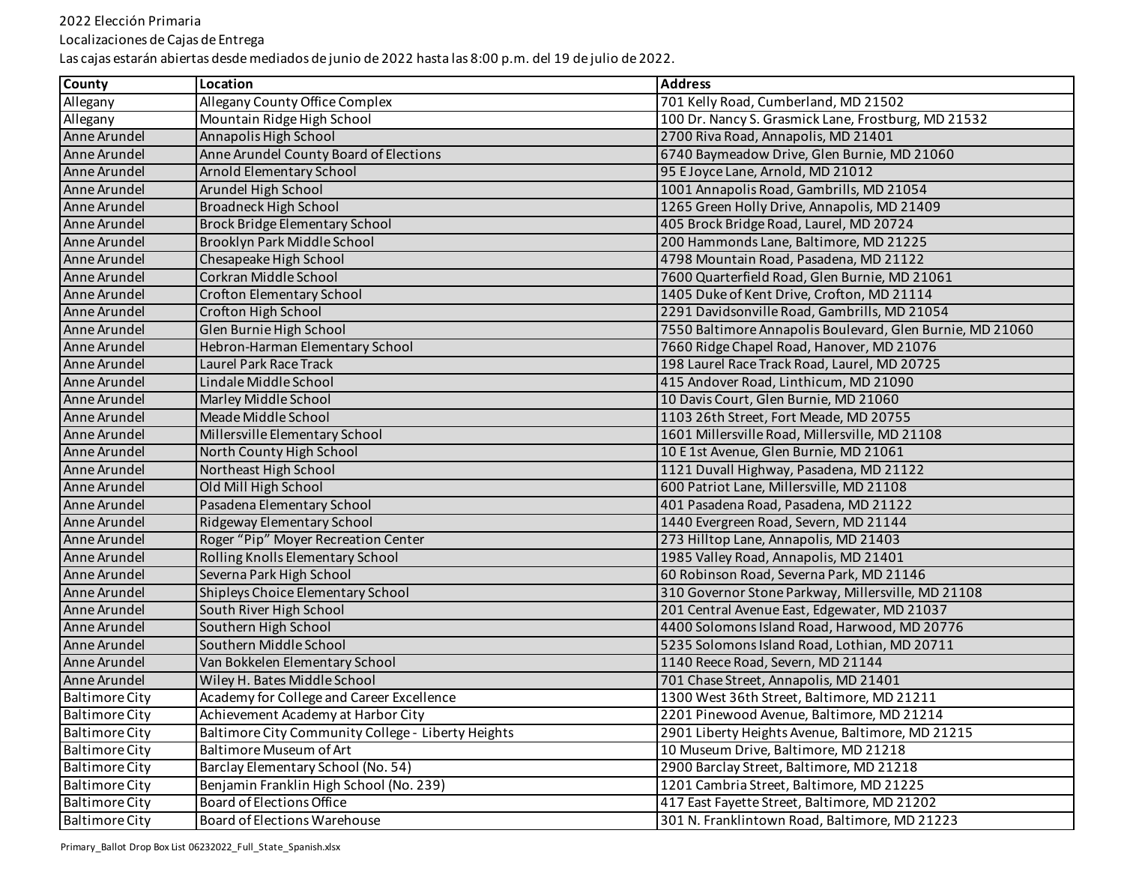Localizaciones de Cajas de Entrega

| <b>County</b>         | Location                                           | <b>Address</b>                                            |
|-----------------------|----------------------------------------------------|-----------------------------------------------------------|
| Allegany              | Allegany County Office Complex                     | 701 Kelly Road, Cumberland, MD 21502                      |
| Allegany              | Mountain Ridge High School                         | 100 Dr. Nancy S. Grasmick Lane, Frostburg, MD 21532       |
| Anne Arundel          | Annapolis High School                              | 2700 Riva Road, Annapolis, MD 21401                       |
| Anne Arundel          | Anne Arundel County Board of Elections             | 6740 Baymeadow Drive, Glen Burnie, MD 21060               |
| Anne Arundel          | Arnold Elementary School                           | 95 E Joyce Lane, Arnold, MD 21012                         |
| Anne Arundel          | Arundel High School                                | 1001 Annapolis Road, Gambrills, MD 21054                  |
| Anne Arundel          | <b>Broadneck High School</b>                       | 1265 Green Holly Drive, Annapolis, MD 21409               |
| Anne Arundel          | <b>Brock Bridge Elementary School</b>              | 405 Brock Bridge Road, Laurel, MD 20724                   |
| Anne Arundel          | Brooklyn Park Middle School                        | 200 Hammonds Lane, Baltimore, MD 21225                    |
| Anne Arundel          | Chesapeake High School                             | 4798 Mountain Road, Pasadena, MD 21122                    |
| Anne Arundel          | Corkran Middle School                              | 7600 Quarterfield Road, Glen Burnie, MD 21061             |
| Anne Arundel          | Crofton Elementary School                          | 1405 Duke of Kent Drive, Crofton, MD 21114                |
| Anne Arundel          | Crofton High School                                | 2291 Davidsonville Road, Gambrills, MD 21054              |
| Anne Arundel          | <b>Glen Burnie High School</b>                     | 7550 Baltimore Annapolis Boulevard, Glen Burnie, MD 21060 |
| Anne Arundel          | Hebron-Harman Elementary School                    | 7660 Ridge Chapel Road, Hanover, MD 21076                 |
| Anne Arundel          | <b>Laurel Park Race Track</b>                      | 198 Laurel Race Track Road, Laurel, MD 20725              |
| Anne Arundel          | Lindale Middle School                              | 415 Andover Road, Linthicum, MD 21090                     |
| Anne Arundel          | Marley Middle School                               | 10 Davis Court, Glen Burnie, MD 21060                     |
| Anne Arundel          | Meade Middle School                                | 1103 26th Street, Fort Meade, MD 20755                    |
| Anne Arundel          | Millersville Elementary School                     | 1601 Millersville Road, Millersville, MD 21108            |
| Anne Arundel          | North County High School                           | 10 E 1st Avenue, Glen Burnie, MD 21061                    |
| Anne Arundel          | Northeast High School                              | 1121 Duvall Highway, Pasadena, MD 21122                   |
| Anne Arundel          | Old Mill High School                               | 600 Patriot Lane, Millersville, MD 21108                  |
| Anne Arundel          | Pasadena Elementary School                         | 401 Pasadena Road, Pasadena, MD 21122                     |
| Anne Arundel          | Ridgeway Elementary School                         | 1440 Evergreen Road, Severn, MD 21144                     |
| Anne Arundel          | Roger "Pip" Moyer Recreation Center                | 273 Hilltop Lane, Annapolis, MD 21403                     |
| Anne Arundel          | Rolling Knolls Elementary School                   | 1985 Valley Road, Annapolis, MD 21401                     |
| Anne Arundel          | Severna Park High School                           | 60 Robinson Road, Severna Park, MD 21146                  |
| Anne Arundel          | Shipleys Choice Elementary School                  | 310 Governor Stone Parkway, Millersville, MD 21108        |
| Anne Arundel          | South River High School                            | 201 Central Avenue East, Edgewater, MD 21037              |
| Anne Arundel          | Southern High School                               | 4400 Solomons Island Road, Harwood, MD 20776              |
| Anne Arundel          | Southern Middle School                             | 5235 Solomons Island Road, Lothian, MD 20711              |
| Anne Arundel          | Van Bokkelen Elementary School                     | 1140 Reece Road, Severn, MD 21144                         |
| Anne Arundel          | Wiley H. Bates Middle School                       | 701 Chase Street, Annapolis, MD 21401                     |
| <b>Baltimore City</b> | Academy for College and Career Excellence          | 1300 West 36th Street, Baltimore, MD 21211                |
| <b>Baltimore City</b> | Achievement Academy at Harbor City                 | 2201 Pinewood Avenue, Baltimore, MD 21214                 |
| <b>Baltimore City</b> | Baltimore City Community College - Liberty Heights | 2901 Liberty Heights Avenue, Baltimore, MD 21215          |
| <b>Baltimore City</b> | <b>Baltimore Museum of Art</b>                     | 10 Museum Drive, Baltimore, MD 21218                      |
| <b>Baltimore City</b> | Barclay Elementary School (No. 54)                 | 2900 Barclay Street, Baltimore, MD 21218                  |
| <b>Baltimore City</b> | Benjamin Franklin High School (No. 239)            | 1201 Cambria Street, Baltimore, MD 21225                  |
| <b>Baltimore City</b> | Board of Elections Office                          | 417 East Fayette Street, Baltimore, MD 21202              |
| <b>Baltimore City</b> | <b>Board of Elections Warehouse</b>                | 301 N. Franklintown Road, Baltimore, MD 21223             |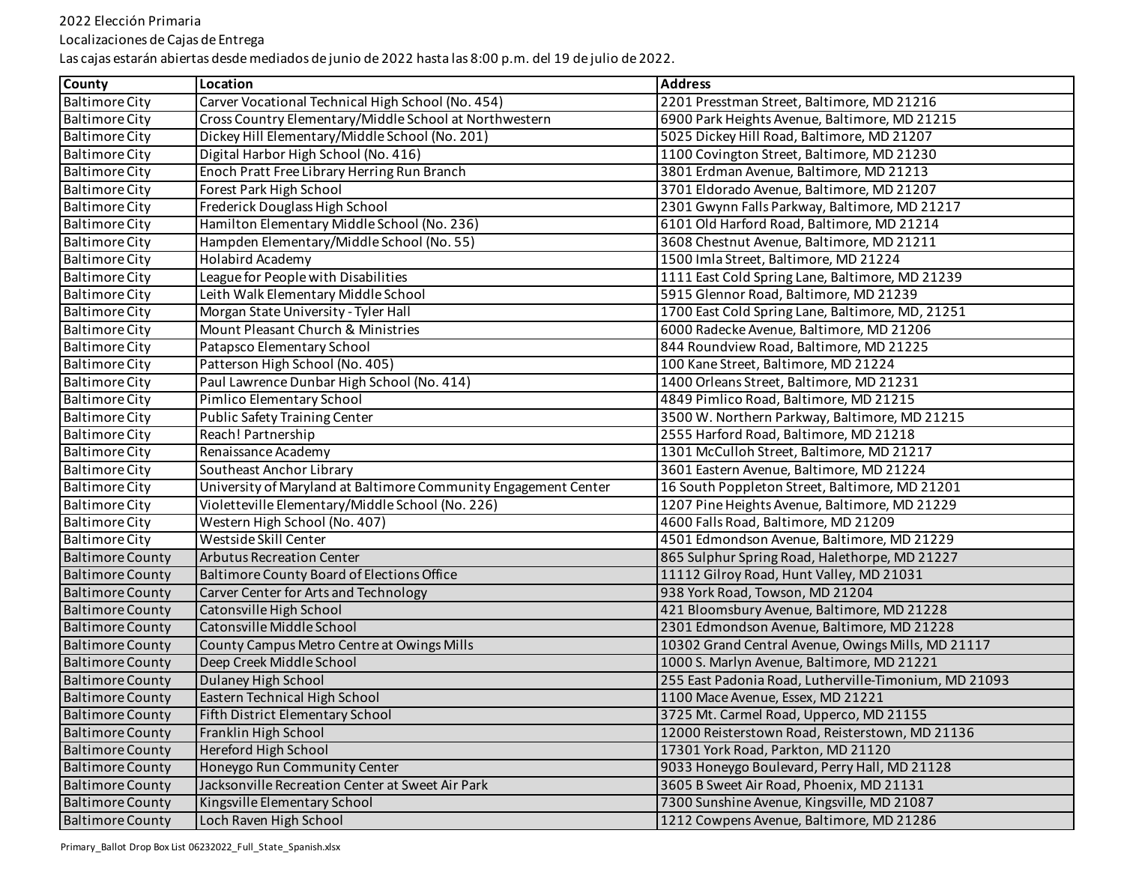Localizaciones de Cajas de Entrega

| <b>County</b>           | Location                                                        | <b>Address</b>                                        |
|-------------------------|-----------------------------------------------------------------|-------------------------------------------------------|
| <b>Baltimore City</b>   | Carver Vocational Technical High School (No. 454)               | 2201 Presstman Street, Baltimore, MD 21216            |
| <b>Baltimore City</b>   | Cross Country Elementary/Middle School at Northwestern          | 6900 Park Heights Avenue, Baltimore, MD 21215         |
| <b>Baltimore City</b>   | Dickey Hill Elementary/Middle School (No. 201)                  | 5025 Dickey Hill Road, Baltimore, MD 21207            |
| <b>Baltimore City</b>   | Digital Harbor High School (No. 416)                            | 1100 Covington Street, Baltimore, MD 21230            |
| <b>Baltimore City</b>   | Enoch Pratt Free Library Herring Run Branch                     | 3801 Erdman Avenue, Baltimore, MD 21213               |
| <b>Baltimore City</b>   | Forest Park High School                                         | 3701 Eldorado Avenue, Baltimore, MD 21207             |
| <b>Baltimore City</b>   | Frederick Douglass High School                                  | 2301 Gwynn Falls Parkway, Baltimore, MD 21217         |
| <b>Baltimore City</b>   | Hamilton Elementary Middle School (No. 236)                     | 6101 Old Harford Road, Baltimore, MD 21214            |
| <b>Baltimore City</b>   | Hampden Elementary/Middle School (No. 55)                       | 3608 Chestnut Avenue, Baltimore, MD 21211             |
| <b>Baltimore City</b>   | <b>Holabird Academy</b>                                         | 1500 Imla Street, Baltimore, MD 21224                 |
| <b>Baltimore City</b>   | League for People with Disabilities                             | 1111 East Cold Spring Lane, Baltimore, MD 21239       |
| <b>Baltimore City</b>   | Leith Walk Elementary Middle School                             | 5915 Glennor Road, Baltimore, MD 21239                |
| <b>Baltimore City</b>   | Morgan State University - Tyler Hall                            | 1700 East Cold Spring Lane, Baltimore, MD, 21251      |
| <b>Baltimore City</b>   | Mount Pleasant Church & Ministries                              | 6000 Radecke Avenue, Baltimore, MD 21206              |
| <b>Baltimore City</b>   | Patapsco Elementary School                                      | 844 Roundview Road, Baltimore, MD 21225               |
| <b>Baltimore City</b>   | Patterson High School (No. 405)                                 | 100 Kane Street, Baltimore, MD 21224                  |
| <b>Baltimore City</b>   | Paul Lawrence Dunbar High School (No. 414)                      | 1400 Orleans Street, Baltimore, MD 21231              |
| <b>Baltimore City</b>   | Pimlico Elementary School                                       | 4849 Pimlico Road, Baltimore, MD 21215                |
| <b>Baltimore City</b>   | <b>Public Safety Training Center</b>                            | 3500 W. Northern Parkway, Baltimore, MD 21215         |
| <b>Baltimore City</b>   | Reach! Partnership                                              | 2555 Harford Road, Baltimore, MD 21218                |
| <b>Baltimore City</b>   | Renaissance Academy                                             | 1301 McCulloh Street, Baltimore, MD 21217             |
| <b>Baltimore City</b>   | Southeast Anchor Library                                        | 3601 Eastern Avenue, Baltimore, MD 21224              |
| <b>Baltimore City</b>   | University of Maryland at Baltimore Community Engagement Center | 16 South Poppleton Street, Baltimore, MD 21201        |
| <b>Baltimore City</b>   | Violetteville Elementary/Middle School (No. 226)                | 1207 Pine Heights Avenue, Baltimore, MD 21229         |
| <b>Baltimore City</b>   | Western High School (No. 407)                                   | 4600 Falls Road, Baltimore, MD 21209                  |
| <b>Baltimore City</b>   | Westside Skill Center                                           | 4501 Edmondson Avenue, Baltimore, MD 21229            |
| <b>Baltimore County</b> | <b>Arbutus Recreation Center</b>                                | 865 Sulphur Spring Road, Halethorpe, MD 21227         |
| <b>Baltimore County</b> | Baltimore County Board of Elections Office                      | 11112 Gilroy Road, Hunt Valley, MD 21031              |
| <b>Baltimore County</b> | Carver Center for Arts and Technology                           | 938 York Road, Towson, MD 21204                       |
| <b>Baltimore County</b> | Catonsville High School                                         | 421 Bloomsbury Avenue, Baltimore, MD 21228            |
| <b>Baltimore County</b> | Catonsville Middle School                                       | 2301 Edmondson Avenue, Baltimore, MD 21228            |
| <b>Baltimore County</b> | County Campus Metro Centre at Owings Mills                      | 10302 Grand Central Avenue, Owings Mills, MD 21117    |
| <b>Baltimore County</b> | Deep Creek Middle School                                        | 1000 S. Marlyn Avenue, Baltimore, MD 21221            |
| <b>Baltimore County</b> | Dulaney High School                                             | 255 East Padonia Road, Lutherville-Timonium, MD 21093 |
| <b>Baltimore County</b> | Eastern Technical High School                                   | 1100 Mace Avenue, Essex, MD 21221                     |
| Baltimore County        | Fifth District Elementary School                                | 3725 Mt. Carmel Road, Upperco, MD 21155               |
| <b>Baltimore County</b> | Franklin High School                                            | 12000 Reisterstown Road, Reisterstown, MD 21136       |
| <b>Baltimore County</b> | Hereford High School                                            | 17301 York Road, Parkton, MD 21120                    |
| <b>Baltimore County</b> | Honeygo Run Community Center                                    | 9033 Honeygo Boulevard, Perry Hall, MD 21128          |
| <b>Baltimore County</b> | Jacksonville Recreation Center at Sweet Air Park                | 3605 B Sweet Air Road, Phoenix, MD 21131              |
| <b>Baltimore County</b> | Kingsville Elementary School                                    | 7300 Sunshine Avenue, Kingsville, MD 21087            |
| <b>Baltimore County</b> | Loch Raven High School                                          | 1212 Cowpens Avenue, Baltimore, MD 21286              |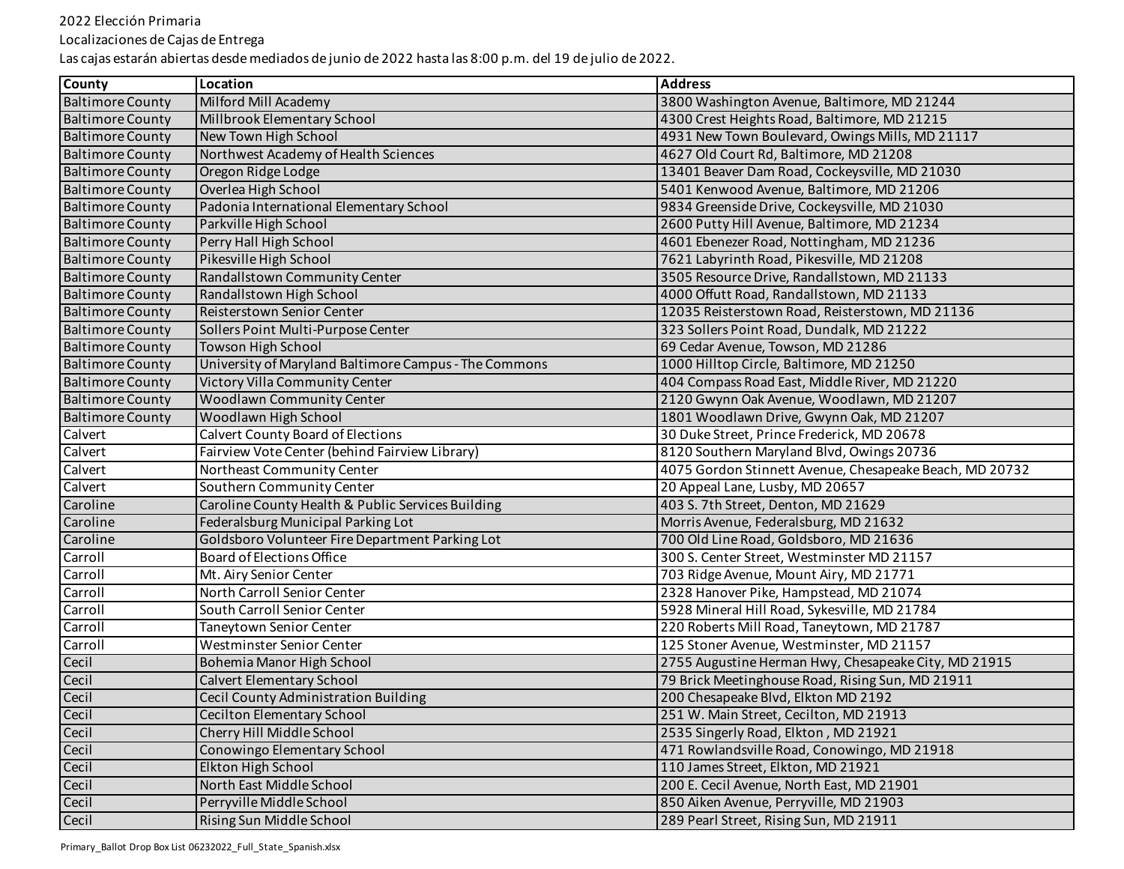Localizaciones de Cajas de Entrega

| <b>County</b>           | Location                                              | <b>Address</b>                                          |
|-------------------------|-------------------------------------------------------|---------------------------------------------------------|
| <b>Baltimore County</b> | Milford Mill Academy                                  | 3800 Washington Avenue, Baltimore, MD 21244             |
| <b>Baltimore County</b> | Millbrook Elementary School                           | 4300 Crest Heights Road, Baltimore, MD 21215            |
| <b>Baltimore County</b> | New Town High School                                  | 4931 New Town Boulevard, Owings Mills, MD 21117         |
| <b>Baltimore County</b> | Northwest Academy of Health Sciences                  | 4627 Old Court Rd, Baltimore, MD 21208                  |
| <b>Baltimore County</b> | Oregon Ridge Lodge                                    | 13401 Beaver Dam Road, Cockeysville, MD 21030           |
| <b>Baltimore County</b> | Overlea High School                                   | 5401 Kenwood Avenue, Baltimore, MD 21206                |
| <b>Baltimore County</b> | Padonia International Elementary School               | 9834 Greenside Drive, Cockeysville, MD 21030            |
| <b>Baltimore County</b> | Parkville High School                                 | 2600 Putty Hill Avenue, Baltimore, MD 21234             |
| <b>Baltimore County</b> | Perry Hall High School                                | 4601 Ebenezer Road, Nottingham, MD 21236                |
| <b>Baltimore County</b> | Pikesville High School                                | 7621 Labyrinth Road, Pikesville, MD 21208               |
| <b>Baltimore County</b> | Randallstown Community Center                         | 3505 Resource Drive, Randallstown, MD 21133             |
| <b>Baltimore County</b> | Randallstown High School                              | 4000 Offutt Road, Randallstown, MD 21133                |
| <b>Baltimore County</b> | Reisterstown Senior Center                            | 12035 Reisterstown Road, Reisterstown, MD 21136         |
| <b>Baltimore County</b> | Sollers Point Multi-Purpose Center                    | 323 Sollers Point Road, Dundalk, MD 21222               |
| <b>Baltimore County</b> | Towson High School                                    | 69 Cedar Avenue, Towson, MD 21286                       |
| <b>Baltimore County</b> | University of Maryland Baltimore Campus - The Commons | 1000 Hilltop Circle, Baltimore, MD 21250                |
| <b>Baltimore County</b> | Victory Villa Community Center                        | 404 Compass Road East, Middle River, MD 21220           |
| <b>Baltimore County</b> | Woodlawn Community Center                             | 2120 Gwynn Oak Avenue, Woodlawn, MD 21207               |
| <b>Baltimore County</b> | Woodlawn High School                                  | 1801 Woodlawn Drive, Gwynn Oak, MD 21207                |
| Calvert                 | Calvert County Board of Elections                     | 30 Duke Street, Prince Frederick, MD 20678              |
| Calvert                 | Fairview Vote Center (behind Fairview Library)        | 8120 Southern Maryland Blvd, Owings 20736               |
| Calvert                 | Northeast Community Center                            | 4075 Gordon Stinnett Avenue, Chesapeake Beach, MD 20732 |
| Calvert                 | Southern Community Center                             | 20 Appeal Lane, Lusby, MD 20657                         |
| Caroline                | Caroline County Health & Public Services Building     | 403 S. 7th Street, Denton, MD 21629                     |
| Caroline                | Federalsburg Municipal Parking Lot                    | Morris Avenue, Federalsburg, MD 21632                   |
| Caroline                | Goldsboro Volunteer Fire Department Parking Lot       | 700 Old Line Road, Goldsboro, MD 21636                  |
| Carroll                 | Board of Elections Office                             | 300 S. Center Street, Westminster MD 21157              |
| Carroll                 | Mt. Airy Senior Center                                | 703 Ridge Avenue, Mount Airy, MD 21771                  |
| Carroll                 | North Carroll Senior Center                           | 2328 Hanover Pike, Hampstead, MD 21074                  |
| Carroll                 | South Carroll Senior Center                           | 5928 Mineral Hill Road, Sykesville, MD 21784            |
| Carroll                 | Taneytown Senior Center                               | 220 Roberts Mill Road, Taneytown, MD 21787              |
| Carroll                 | Westminster Senior Center                             | 125 Stoner Avenue, Westminster, MD 21157                |
| Cecil                   | Bohemia Manor High School                             | 2755 Augustine Herman Hwy, Chesapeake City, MD 21915    |
| Cecil                   | <b>Calvert Elementary School</b>                      | 79 Brick Meetinghouse Road, Rising Sun, MD 21911        |
| Cecil                   | Cecil County Administration Building                  | 200 Chesapeake Blvd, Elkton MD 2192                     |
| Cecil                   | <b>Cecilton Elementary School</b>                     | 251 W. Main Street, Cecilton, MD 21913                  |
| Cecil                   | Cherry Hill Middle School                             | 2535 Singerly Road, Elkton, MD 21921                    |
| Cecil                   | Conowingo Elementary School                           | 471 Rowlandsville Road, Conowingo, MD 21918             |
| Cecil                   | Elkton High School                                    | 110 James Street, Elkton, MD 21921                      |
| Cecil                   | North East Middle School                              | 200 E. Cecil Avenue, North East, MD 21901               |
| Cecil                   | Perryville Middle School                              | 850 Aiken Avenue, Perryville, MD 21903                  |
| Cecil                   | Rising Sun Middle School                              | 289 Pearl Street, Rising Sun, MD 21911                  |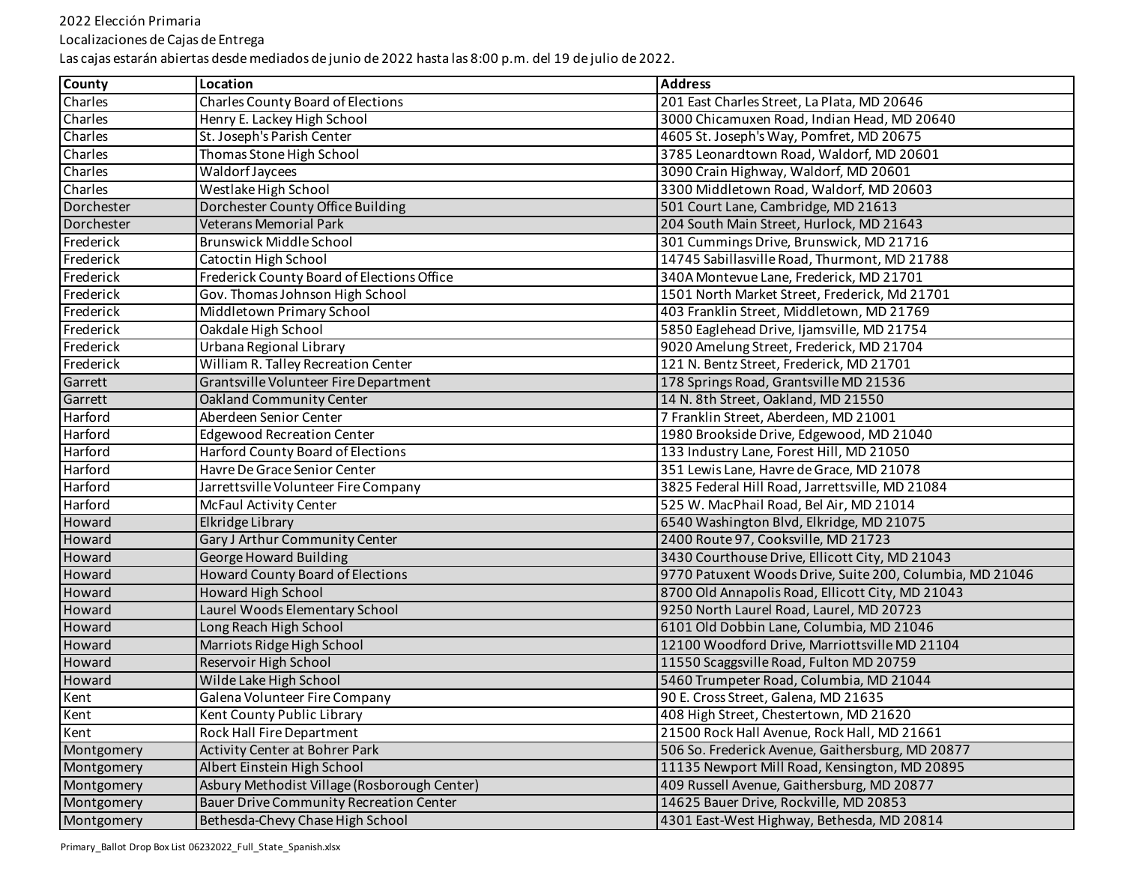Localizaciones de Cajas de Entrega

| <b>County</b> | Location                                       | <b>Address</b>                                           |
|---------------|------------------------------------------------|----------------------------------------------------------|
| Charles       | <b>Charles County Board of Elections</b>       | 201 East Charles Street, La Plata, MD 20646              |
| Charles       | Henry E. Lackey High School                    | 3000 Chicamuxen Road, Indian Head, MD 20640              |
| Charles       | St. Joseph's Parish Center                     | 4605 St. Joseph's Way, Pomfret, MD 20675                 |
| Charles       | Thomas Stone High School                       | 3785 Leonardtown Road, Waldorf, MD 20601                 |
| Charles       | Waldorf Jaycees                                | 3090 Crain Highway, Waldorf, MD 20601                    |
| Charles       | Westlake High School                           | 3300 Middletown Road, Waldorf, MD 20603                  |
| Dorchester    | Dorchester County Office Building              | 501 Court Lane, Cambridge, MD 21613                      |
| Dorchester    | Veterans Memorial Park                         | 204 South Main Street, Hurlock, MD 21643                 |
| Frederick     | <b>Brunswick Middle School</b>                 | 301 Cummings Drive, Brunswick, MD 21716                  |
| Frederick     | Catoctin High School                           | 14745 Sabillasville Road, Thurmont, MD 21788             |
| Frederick     | Frederick County Board of Elections Office     | 340A Montevue Lane, Frederick, MD 21701                  |
| Frederick     | Gov. Thomas Johnson High School                | 1501 North Market Street, Frederick, Md 21701            |
| Frederick     | Middletown Primary School                      | 403 Franklin Street, Middletown, MD 21769                |
| Frederick     | Oakdale High School                            | 5850 Eaglehead Drive, Ijamsville, MD 21754               |
| Frederick     | Urbana Regional Library                        | 9020 Amelung Street, Frederick, MD 21704                 |
| Frederick     | William R. Talley Recreation Center            | 121 N. Bentz Street, Frederick, MD 21701                 |
| Garrett       | Grantsville Volunteer Fire Department          | 178 Springs Road, Grantsville MD 21536                   |
| Garrett       | <b>Oakland Community Center</b>                | 14 N. 8th Street, Oakland, MD 21550                      |
| Harford       | Aberdeen Senior Center                         | 7 Franklin Street, Aberdeen, MD 21001                    |
| Harford       | <b>Edgewood Recreation Center</b>              | 1980 Brookside Drive, Edgewood, MD 21040                 |
| Harford       | <b>Harford County Board of Elections</b>       | 133 Industry Lane, Forest Hill, MD 21050                 |
| Harford       | Havre De Grace Senior Center                   | 351 Lewis Lane, Havre de Grace, MD 21078                 |
| Harford       | Jarrettsville Volunteer Fire Company           | 3825 Federal Hill Road, Jarrettsville, MD 21084          |
| Harford       | McFaul Activity Center                         | 525 W. MacPhail Road, Bel Air, MD 21014                  |
| Howard        | Elkridge Library                               | 6540 Washington Blvd, Elkridge, MD 21075                 |
| Howard        | Gary J Arthur Community Center                 | 2400 Route 97, Cooksville, MD 21723                      |
| Howard        | <b>George Howard Building</b>                  | 3430 Courthouse Drive, Ellicott City, MD 21043           |
| Howard        | <b>Howard County Board of Elections</b>        | 9770 Patuxent Woods Drive, Suite 200, Columbia, MD 21046 |
| Howard        | <b>Howard High School</b>                      | 8700 Old Annapolis Road, Ellicott City, MD 21043         |
| Howard        | Laurel Woods Elementary School                 | 9250 North Laurel Road, Laurel, MD 20723                 |
| Howard        | Long Reach High School                         | 6101 Old Dobbin Lane, Columbia, MD 21046                 |
| Howard        | Marriots Ridge High School                     | 12100 Woodford Drive, Marriottsville MD 21104            |
| Howard        | Reservoir High School                          | 11550 Scaggsville Road, Fulton MD 20759                  |
| Howard        | Wilde Lake High School                         | 5460 Trumpeter Road, Columbia, MD 21044                  |
| Kent          | Galena Volunteer Fire Company                  | 90 E. Cross Street, Galena, MD 21635                     |
| Kent          | Kent County Public Library                     | 408 High Street, Chestertown, MD 21620                   |
| Kent          | Rock Hall Fire Department                      | 21500 Rock Hall Avenue, Rock Hall, MD 21661              |
| Montgomery    | <b>Activity Center at Bohrer Park</b>          | 506 So. Frederick Avenue, Gaithersburg, MD 20877         |
| Montgomery    | Albert Einstein High School                    | 11135 Newport Mill Road, Kensington, MD 20895            |
| Montgomery    | Asbury Methodist Village (Rosborough Center)   | 409 Russell Avenue, Gaithersburg, MD 20877               |
| Montgomery    | <b>Bauer Drive Community Recreation Center</b> | 14625 Bauer Drive, Rockville, MD 20853                   |
| Montgomery    | Bethesda-Chevy Chase High School               | 4301 East-West Highway, Bethesda, MD 20814               |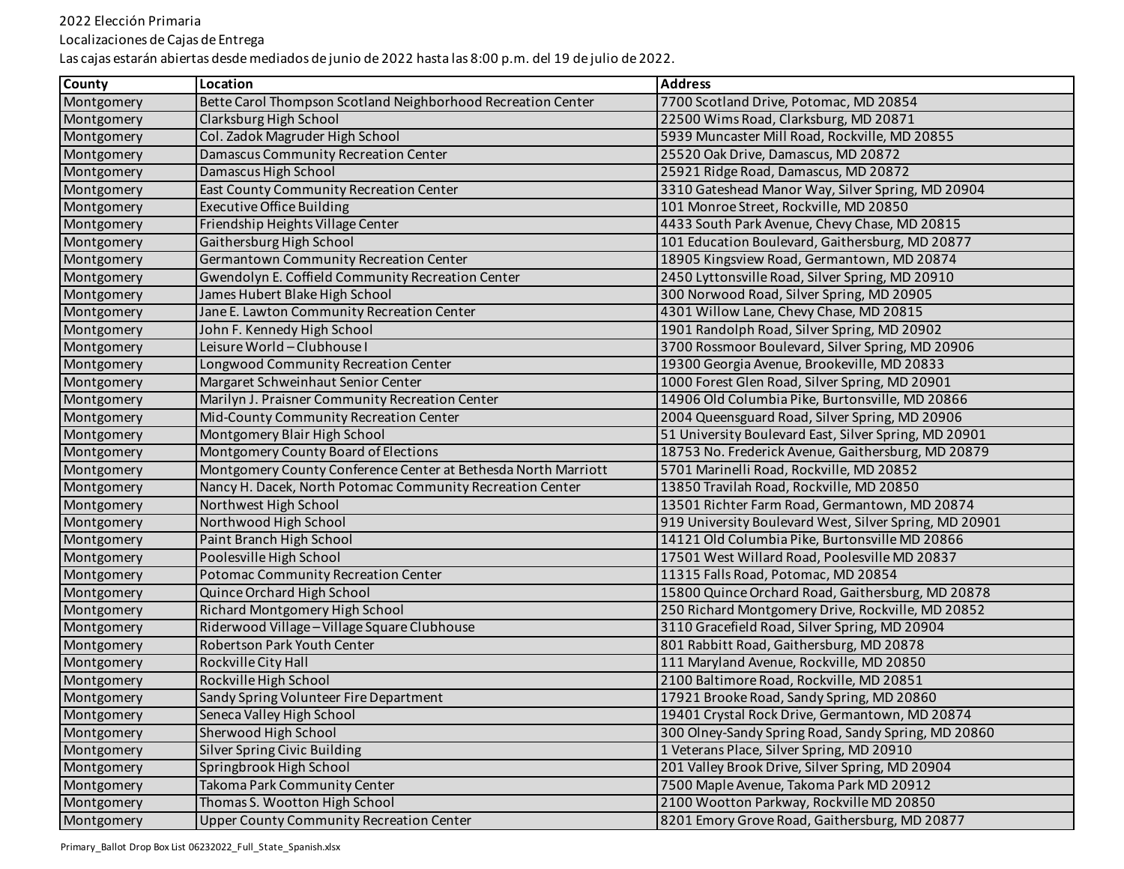Localizaciones de Cajas de Entrega

| County     | Location                                                       | <b>Address</b>                                         |
|------------|----------------------------------------------------------------|--------------------------------------------------------|
| Montgomery | Bette Carol Thompson Scotland Neighborhood Recreation Center   | 7700 Scotland Drive, Potomac, MD 20854                 |
| Montgomery | Clarksburg High School                                         | 22500 Wims Road, Clarksburg, MD 20871                  |
| Montgomery | Col. Zadok Magruder High School                                | 5939 Muncaster Mill Road, Rockville, MD 20855          |
| Montgomery | Damascus Community Recreation Center                           | 25520 Oak Drive, Damascus, MD 20872                    |
| Montgomery | Damascus High School                                           | 25921 Ridge Road, Damascus, MD 20872                   |
| Montgomery | East County Community Recreation Center                        | 3310 Gateshead Manor Way, Silver Spring, MD 20904      |
| Montgomery | <b>Executive Office Building</b>                               | 101 Monroe Street, Rockville, MD 20850                 |
| Montgomery | Friendship Heights Village Center                              | 4433 South Park Avenue, Chevy Chase, MD 20815          |
| Montgomery | Gaithersburg High School                                       | 101 Education Boulevard, Gaithersburg, MD 20877        |
| Montgomery | Germantown Community Recreation Center                         | 18905 Kingsview Road, Germantown, MD 20874             |
| Montgomery | Gwendolyn E. Coffield Community Recreation Center              | 2450 Lyttonsville Road, Silver Spring, MD 20910        |
| Montgomery | James Hubert Blake High School                                 | 300 Norwood Road, Silver Spring, MD 20905              |
| Montgomery | Jane E. Lawton Community Recreation Center                     | 4301 Willow Lane, Chevy Chase, MD 20815                |
| Montgomery | John F. Kennedy High School                                    | 1901 Randolph Road, Silver Spring, MD 20902            |
| Montgomery | Leisure World - Clubhouse I                                    | 3700 Rossmoor Boulevard, Silver Spring, MD 20906       |
| Montgomery | Longwood Community Recreation Center                           | 19300 Georgia Avenue, Brookeville, MD 20833            |
| Montgomery | Margaret Schweinhaut Senior Center                             | 1000 Forest Glen Road, Silver Spring, MD 20901         |
| Montgomery | Marilyn J. Praisner Community Recreation Center                | 14906 Old Columbia Pike, Burtonsville, MD 20866        |
| Montgomery | Mid-County Community Recreation Center                         | 2004 Queensguard Road, Silver Spring, MD 20906         |
| Montgomery | Montgomery Blair High School                                   | 51 University Boulevard East, Silver Spring, MD 20901  |
| Montgomery | Montgomery County Board of Elections                           | 18753 No. Frederick Avenue, Gaithersburg, MD 20879     |
| Montgomery | Montgomery County Conference Center at Bethesda North Marriott | 5701 Marinelli Road, Rockville, MD 20852               |
| Montgomery | Nancy H. Dacek, North Potomac Community Recreation Center      | 13850 Travilah Road, Rockville, MD 20850               |
| Montgomery | Northwest High School                                          | 13501 Richter Farm Road, Germantown, MD 20874          |
| Montgomery | Northwood High School                                          | 919 University Boulevard West, Silver Spring, MD 20901 |
| Montgomery | Paint Branch High School                                       | 14121 Old Columbia Pike, Burtonsville MD 20866         |
| Montgomery | Poolesville High School                                        | 17501 West Willard Road, Poolesville MD 20837          |
| Montgomery | Potomac Community Recreation Center                            | 11315 Falls Road, Potomac, MD 20854                    |
| Montgomery | Quince Orchard High School                                     | 15800 Quince Orchard Road, Gaithersburg, MD 20878      |
| Montgomery | Richard Montgomery High School                                 | 250 Richard Montgomery Drive, Rockville, MD 20852      |
| Montgomery | Riderwood Village - Village Square Clubhouse                   | 3110 Gracefield Road, Silver Spring, MD 20904          |
| Montgomery | Robertson Park Youth Center                                    | 801 Rabbitt Road, Gaithersburg, MD 20878               |
| Montgomery | Rockville City Hall                                            | 111 Maryland Avenue, Rockville, MD 20850               |
| Montgomery | Rockville High School                                          | 2100 Baltimore Road, Rockville, MD 20851               |
| Montgomery | Sandy Spring Volunteer Fire Department                         | 17921 Brooke Road, Sandy Spring, MD 20860              |
| Montgomery | Seneca Valley High School                                      | 19401 Crystal Rock Drive, Germantown, MD 20874         |
| Montgomery | Sherwood High School                                           | 300 Olney-Sandy Spring Road, Sandy Spring, MD 20860    |
| Montgomery | <b>Silver Spring Civic Building</b>                            | 1 Veterans Place, Silver Spring, MD 20910              |
| Montgomery | Springbrook High School                                        | 201 Valley Brook Drive, Silver Spring, MD 20904        |
| Montgomery | Takoma Park Community Center                                   | 7500 Maple Avenue, Takoma Park MD 20912                |
| Montgomery | Thomas S. Wootton High School                                  | 2100 Wootton Parkway, Rockville MD 20850               |
| Montgomery | <b>Upper County Community Recreation Center</b>                | 8201 Emory Grove Road, Gaithersburg, MD 20877          |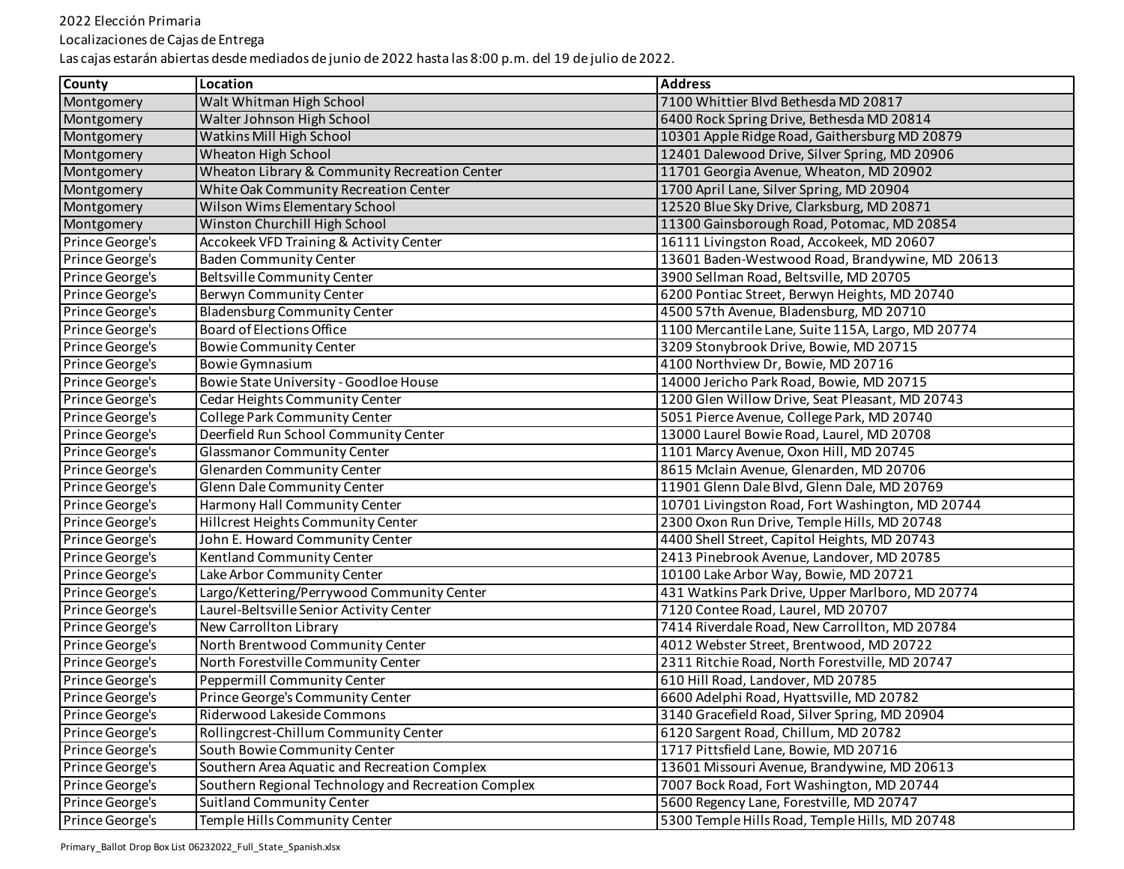Localizaciones de Cajas de Entrega

| <b>County</b>   | Location                                            | <b>Address</b>                                    |
|-----------------|-----------------------------------------------------|---------------------------------------------------|
| Montgomery      | Walt Whitman High School                            | 7100 Whittier Blvd Bethesda MD 20817              |
| Montgomery      | Walter Johnson High School                          | 6400 Rock Spring Drive, Bethesda MD 20814         |
| Montgomery      | Watkins Mill High School                            | 10301 Apple Ridge Road, Gaithersburg MD 20879     |
| Montgomery      | Wheaton High School                                 | 12401 Dalewood Drive, Silver Spring, MD 20906     |
| Montgomery      | Wheaton Library & Community Recreation Center       | 11701 Georgia Avenue, Wheaton, MD 20902           |
| Montgomery      | White Oak Community Recreation Center               | 1700 April Lane, Silver Spring, MD 20904          |
| Montgomery      | Wilson Wims Elementary School                       | 12520 Blue Sky Drive, Clarksburg, MD 20871        |
| Montgomery      | Winston Churchill High School                       | 11300 Gainsborough Road, Potomac, MD 20854        |
| Prince George's | Accokeek VFD Training & Activity Center             | 16111 Livingston Road, Accokeek, MD 20607         |
| Prince George's | <b>Baden Community Center</b>                       | 13601 Baden-Westwood Road, Brandywine, MD 20613   |
| Prince George's | Beltsville Community Center                         | 3900 Sellman Road, Beltsville, MD 20705           |
| Prince George's | Berwyn Community Center                             | 6200 Pontiac Street, Berwyn Heights, MD 20740     |
| Prince George's | <b>Bladensburg Community Center</b>                 | 4500 57th Avenue, Bladensburg, MD 20710           |
| Prince George's | <b>Board of Elections Office</b>                    | 1100 Mercantile Lane, Suite 115A, Largo, MD 20774 |
| Prince George's | <b>Bowie Community Center</b>                       | 3209 Stonybrook Drive, Bowie, MD 20715            |
| Prince George's | <b>Bowie Gymnasium</b>                              | 4100 Northview Dr, Bowie, MD 20716                |
| Prince George's | Bowie State University - Goodloe House              | 14000 Jericho Park Road, Bowie, MD 20715          |
| Prince George's | Cedar Heights Community Center                      | 1200 Glen Willow Drive, Seat Pleasant, MD 20743   |
| Prince George's | College Park Community Center                       | 5051 Pierce Avenue, College Park, MD 20740        |
| Prince George's | Deerfield Run School Community Center               | 13000 Laurel Bowie Road, Laurel, MD 20708         |
| Prince George's | <b>Glassmanor Community Center</b>                  | 1101 Marcy Avenue, Oxon Hill, MD 20745            |
| Prince George's | Glenarden Community Center                          | 8615 Mclain Avenue, Glenarden, MD 20706           |
| Prince George's | Glenn Dale Community Center                         | 11901 Glenn Dale Blvd, Glenn Dale, MD 20769       |
| Prince George's | Harmony Hall Community Center                       | 10701 Livingston Road, Fort Washington, MD 20744  |
| Prince George's | Hillcrest Heights Community Center                  | 2300 Oxon Run Drive, Temple Hills, MD 20748       |
| Prince George's | John E. Howard Community Center                     | 4400 Shell Street, Capitol Heights, MD 20743      |
| Prince George's | Kentland Community Center                           | 2413 Pinebrook Avenue, Landover, MD 20785         |
| Prince George's | Lake Arbor Community Center                         | 10100 Lake Arbor Way, Bowie, MD 20721             |
| Prince George's | Largo/Kettering/Perrywood Community Center          | 431 Watkins Park Drive, Upper Marlboro, MD 20774  |
| Prince George's | Laurel-Beltsville Senior Activity Center            | 7120 Contee Road, Laurel, MD 20707                |
| Prince George's | New Carrollton Library                              | 7414 Riverdale Road, New Carrollton, MD 20784     |
| Prince George's | North Brentwood Community Center                    | 4012 Webster Street, Brentwood, MD 20722          |
| Prince George's | North Forestville Community Center                  | 2311 Ritchie Road, North Forestville, MD 20747    |
| Prince George's | Peppermill Community Center                         | 610 Hill Road, Landover, MD 20785                 |
| Prince George's | Prince George's Community Center                    | 6600 Adelphi Road, Hyattsville, MD 20782          |
| Prince George's | Riderwood Lakeside Commons                          | 3140 Gracefield Road, Silver Spring, MD 20904     |
| Prince George's | Rollingcrest-Chillum Community Center               | 6120 Sargent Road, Chillum, MD 20782              |
| Prince George's | South Bowie Community Center                        | 1717 Pittsfield Lane, Bowie, MD 20716             |
| Prince George's | Southern Area Aquatic and Recreation Complex        | 13601 Missouri Avenue, Brandywine, MD 20613       |
| Prince George's | Southern Regional Technology and Recreation Complex | 7007 Bock Road, Fort Washington, MD 20744         |
| Prince George's | <b>Suitland Community Center</b>                    | 5600 Regency Lane, Forestville, MD 20747          |
| Prince George's | Temple Hills Community Center                       | 5300 Temple Hills Road, Temple Hills, MD 20748    |